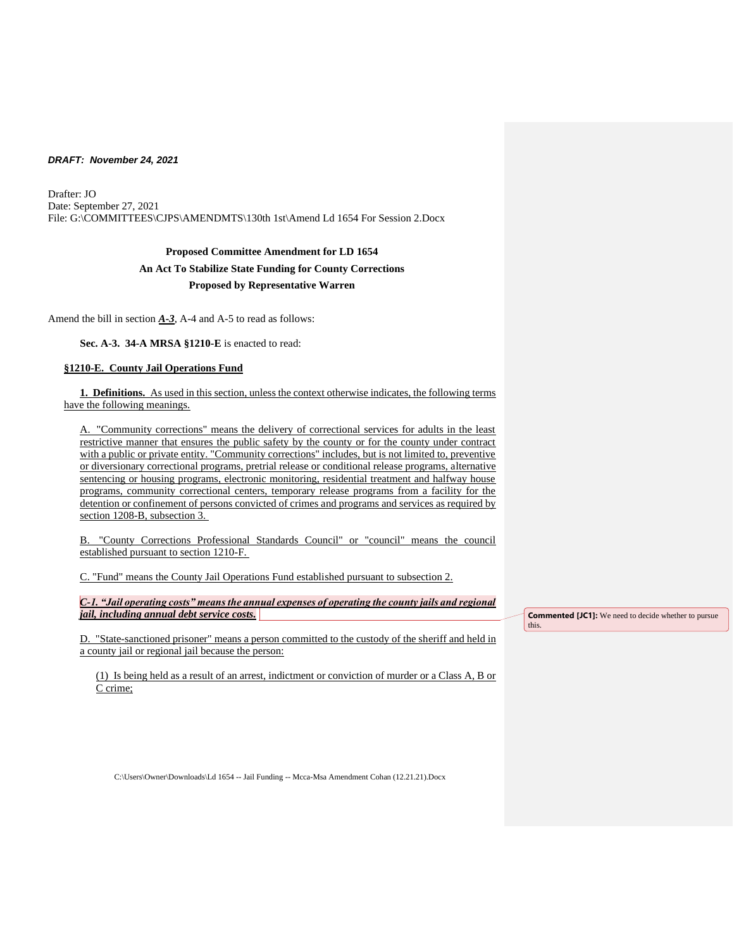Drafter: JO Date: September 27, 2021 File: G:\COMMITTEES\CJPS\AMENDMTS\130th 1st\Amend Ld 1654 For Session 2.Docx

# **Proposed Committee Amendment for LD 1654 An Act To Stabilize State Funding for County Corrections Proposed by Representative Warren**

Amend the bill in section *A-3*, A-4 and A-5 to read as follows:

**Sec. A-3. 34-A MRSA §1210-E** is enacted to read:

# **§1210-E. County Jail Operations Fund**

**1. Definitions.** As used in this section, unless the context otherwise indicates, the following terms have the following meanings.

A. "Community corrections" means the delivery of correctional services for adults in the least restrictive manner that ensures the public safety by the county or for the county under contract with a public or private entity. "Community corrections" includes, but is not limited to, preventive or diversionary correctional programs, pretrial release or conditional release programs, alternative sentencing or housing programs, electronic monitoring, residential treatment and halfway house programs, community correctional centers, temporary release programs from a facility for the detention or confinement of persons convicted of crimes and programs and services as required by section 1208-B, subsection 3.

B. "County Corrections Professional Standards Council" or "council" means the council established pursuant to section 1210-F.

C. "Fund" means the County Jail Operations Fund established pursuant to subsection 2.

*C-1. "Jail operating costs" means the annual expenses of operating the county jails and regional jail, including annual debt service costs.* 

D. "State-sanctioned prisoner" means a person committed to the custody of the sheriff and held in a county jail or regional jail because the person:

(1) Is being held as a result of an arrest, indictment or conviction of murder or a Class A, B or C crime;

**Commented [JC1]:** We need to decide whether to pursue this.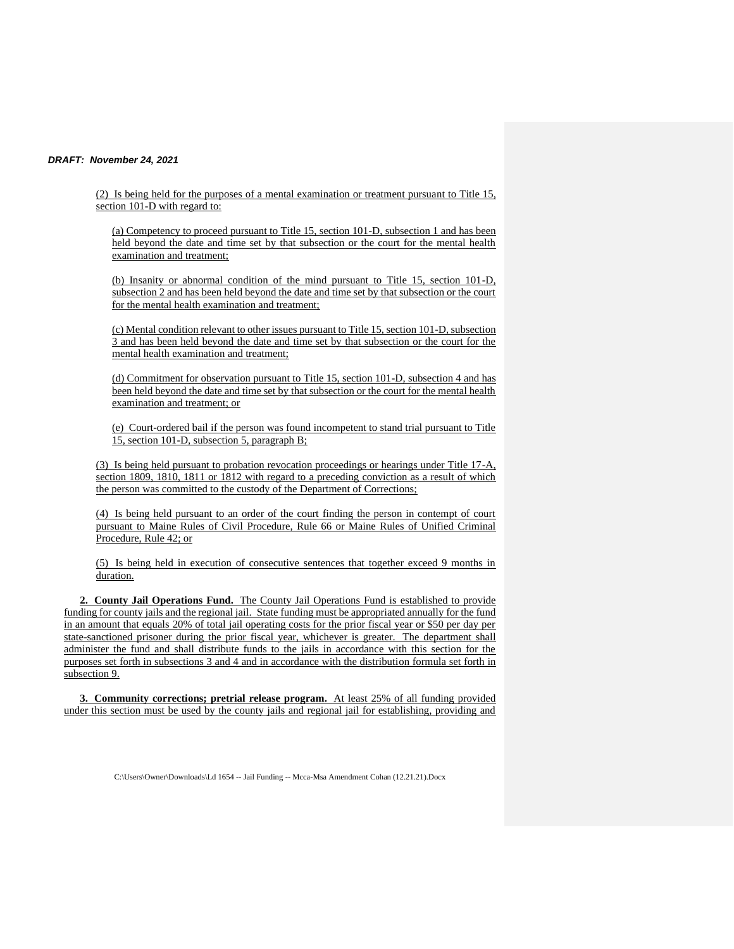(2) Is being held for the purposes of a mental examination or treatment pursuant to Title 15, section 101-D with regard to:

(a) Competency to proceed pursuant to Title 15, section 101-D, subsection 1 and has been held beyond the date and time set by that subsection or the court for the mental health examination and treatment;

(b) Insanity or abnormal condition of the mind pursuant to Title 15, section 101-D, subsection 2 and has been held beyond the date and time set by that subsection or the court for the mental health examination and treatment;

(c) Mental condition relevant to other issues pursuant to Title 15, section 101-D, subsection 3 and has been held beyond the date and time set by that subsection or the court for the mental health examination and treatment;

(d) Commitment for observation pursuant to Title 15, section 101-D, subsection 4 and has been held beyond the date and time set by that subsection or the court for the mental health examination and treatment; or

(e) Court-ordered bail if the person was found incompetent to stand trial pursuant to Title 15, section 101-D, subsection 5, paragraph B;

(3) Is being held pursuant to probation revocation proceedings or hearings under Title 17-A, section 1809, 1810, 1811 or 1812 with regard to a preceding conviction as a result of which the person was committed to the custody of the Department of Corrections;

(4) Is being held pursuant to an order of the court finding the person in contempt of court pursuant to Maine Rules of Civil Procedure, Rule 66 or Maine Rules of Unified Criminal Procedure, Rule 42; or

(5) Is being held in execution of consecutive sentences that together exceed 9 months in duration.

**2. County Jail Operations Fund.** The County Jail Operations Fund is established to provide funding for county jails and the regional jail. State funding must be appropriated annually for the fund in an amount that equals 20% of total jail operating costs for the prior fiscal year or \$50 per day per state-sanctioned prisoner during the prior fiscal year, whichever is greater. The department shall administer the fund and shall distribute funds to the jails in accordance with this section for the purposes set forth in subsections 3 and 4 and in accordance with the distribution formula set forth in subsection 9.

**3. Community corrections; pretrial release program.** At least 25% of all funding provided under this section must be used by the county jails and regional jail for establishing, providing and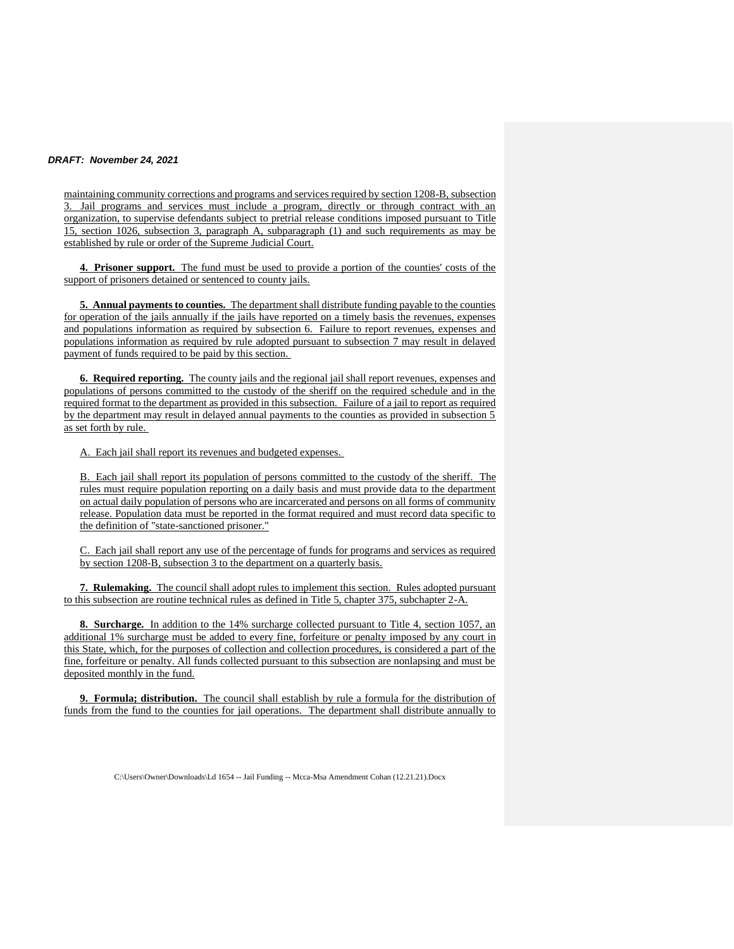maintaining community corrections and programs and services required by section 1208-B, subsection 3. Jail programs and services must include a program, directly or through contract with an organization, to supervise defendants subject to pretrial release conditions imposed pursuant to Title 15, section 1026, subsection 3, paragraph A, subparagraph (1) and such requirements as may be established by rule or order of the Supreme Judicial Court.

**4. Prisoner support.** The fund must be used to provide a portion of the counties' costs of the support of prisoners detained or sentenced to county jails.

**5. Annual payments to counties.** The department shall distribute funding payable to the counties for operation of the jails annually if the jails have reported on a timely basis the revenues, expenses and populations information as required by subsection 6. Failure to report revenues, expenses and populations information as required by rule adopted pursuant to subsection 7 may result in delayed payment of funds required to be paid by this section.

**6. Required reporting.** The county jails and the regional jail shall report revenues, expenses and populations of persons committed to the custody of the sheriff on the required schedule and in the required format to the department as provided in this subsection. Failure of a jail to report as required by the department may result in delayed annual payments to the counties as provided in subsection 5 as set forth by rule.

A. Each jail shall report its revenues and budgeted expenses.

B. Each jail shall report its population of persons committed to the custody of the sheriff. The rules must require population reporting on a daily basis and must provide data to the department on actual daily population of persons who are incarcerated and persons on all forms of community release. Population data must be reported in the format required and must record data specific to the definition of "state-sanctioned prisoner."

C. Each jail shall report any use of the percentage of funds for programs and services as required by section 1208-B, subsection 3 to the department on a quarterly basis.

**7. Rulemaking.** The council shall adopt rules to implement this section. Rules adopted pursuant to this subsection are routine technical rules as defined in Title 5, chapter 375, subchapter 2-A.

**8. Surcharge.** In addition to the 14% surcharge collected pursuant to Title 4, section 1057, an additional 1% surcharge must be added to every fine, forfeiture or penalty imposed by any court in this State, which, for the purposes of collection and collection procedures, is considered a part of the fine, forfeiture or penalty. All funds collected pursuant to this subsection are nonlapsing and must be deposited monthly in the fund.

**9. Formula; distribution.** The council shall establish by rule a formula for the distribution of funds from the fund to the counties for jail operations. The department shall distribute annually to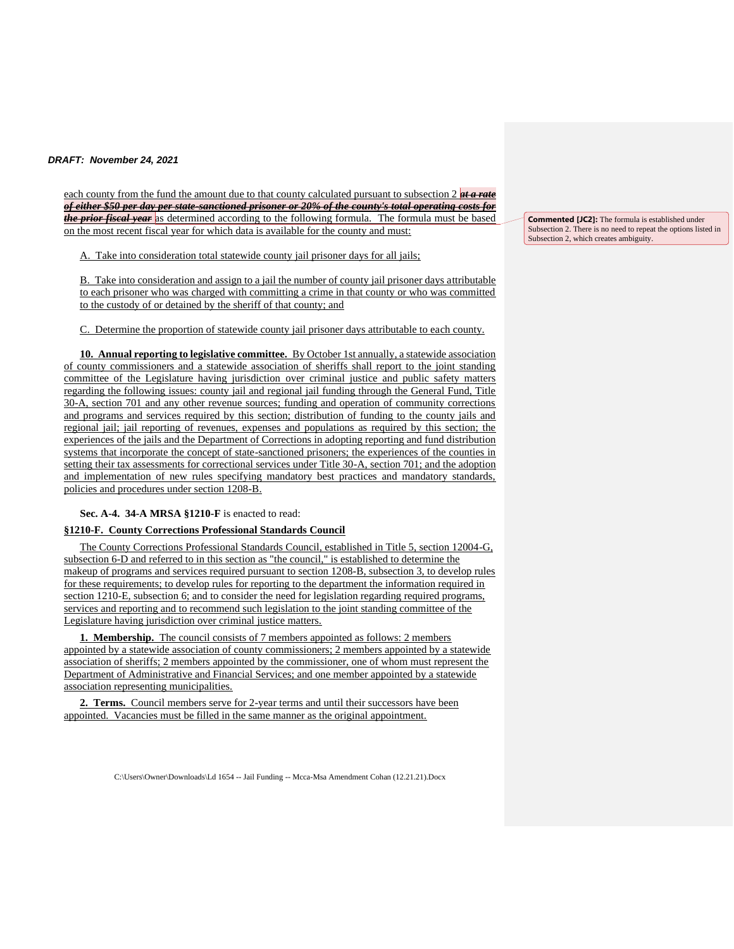each county from the fund the amount due to that county calculated pursuant to subsection 2 *at a rate of either \$50 per day per state-sanctioned prisoner or 20% of the county's total operating costs for the prior fiscal year* as determined according to the following formula. The formula must be based on the most recent fiscal year for which data is available for the county and must:

A. Take into consideration total statewide county jail prisoner days for all jails;

B. Take into consideration and assign to a jail the number of county jail prisoner days attributable to each prisoner who was charged with committing a crime in that county or who was committed to the custody of or detained by the sheriff of that county; and

C. Determine the proportion of statewide county jail prisoner days attributable to each county.

**10. Annual reporting to legislative committee.** By October 1st annually, a statewide association of county commissioners and a statewide association of sheriffs shall report to the joint standing committee of the Legislature having jurisdiction over criminal justice and public safety matters regarding the following issues: county jail and regional jail funding through the General Fund, Title 30-A, section 701 and any other revenue sources; funding and operation of community corrections and programs and services required by this section; distribution of funding to the county jails and regional jail; jail reporting of revenues, expenses and populations as required by this section; the experiences of the jails and the Department of Corrections in adopting reporting and fund distribution systems that incorporate the concept of state-sanctioned prisoners; the experiences of the counties in setting their tax assessments for correctional services under Title 30-A, section 701; and the adoption and implementation of new rules specifying mandatory best practices and mandatory standards, policies and procedures under section 1208-B.

**Sec. A-4. 34-A MRSA §1210-F** is enacted to read:

## **§1210-F. County Corrections Professional Standards Council**

The County Corrections Professional Standards Council, established in Title 5, section 12004-G, subsection 6-D and referred to in this section as "the council," is established to determine the makeup of programs and services required pursuant to section 1208-B, subsection 3, to develop rules for these requirements; to develop rules for reporting to the department the information required in section 1210-E, subsection 6; and to consider the need for legislation regarding required programs, services and reporting and to recommend such legislation to the joint standing committee of the Legislature having jurisdiction over criminal justice matters.

**1. Membership.** The council consists of 7 members appointed as follows: 2 members appointed by a statewide association of county commissioners; 2 members appointed by a statewide association of sheriffs; 2 members appointed by the commissioner, one of whom must represent the Department of Administrative and Financial Services; and one member appointed by a statewide association representing municipalities.

**2. Terms.** Council members serve for 2-year terms and until their successors have been appointed. Vacancies must be filled in the same manner as the original appointment.

C:\Users\Owner\Downloads\Ld 1654 -- Jail Funding -- Mcca-Msa Amendment Cohan (12.21.21).Docx

**Commented [JC2]:** The formula is established under Subsection 2. There is no need to repeat the options listed in Subsection 2, which creates ambiguity.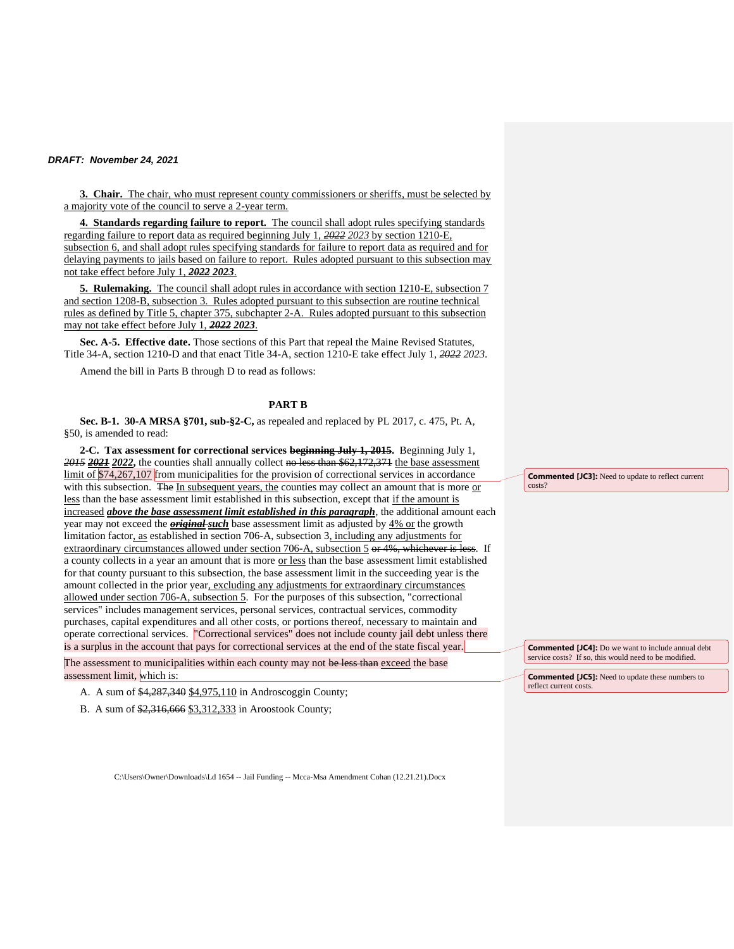**3. Chair.** The chair, who must represent county commissioners or sheriffs, must be selected by a majority vote of the council to serve a 2-year term.

**4. Standards regarding failure to report.** The council shall adopt rules specifying standards regarding failure to report data as required beginning July 1, *2022 2023* by section 1210-E, subsection 6, and shall adopt rules specifying standards for failure to report data as required and for delaying payments to jails based on failure to report. Rules adopted pursuant to this subsection may not take effect before July 1, *2022 2023*.

**5. Rulemaking.** The council shall adopt rules in accordance with section 1210-E, subsection 7 and section 1208-B, subsection 3. Rules adopted pursuant to this subsection are routine technical rules as defined by Title 5, chapter 375, subchapter 2-A. Rules adopted pursuant to this subsection may not take effect before July 1, *2022 2023*.

**Sec. A-5. Effective date.** Those sections of this Part that repeal the Maine Revised Statutes, Title 34-A, section 1210-D and that enact Title 34-A, section 1210-E take effect July 1, *2022 2023*.

Amend the bill in Parts B through D to read as follows:

#### **PART B**

**Sec. B-1. 30-A MRSA §701, sub-§2-C,** as repealed and replaced by PL 2017, c. 475, Pt. A, §50, is amended to read:

**2-C. Tax assessment for correctional services beginning July 1, 2015.** Beginning July 1, *2015 2021 2022***,** the counties shall annually collect no less than \$62,172,371 the base assessment limit of \$74,267,107 from municipalities for the provision of correctional services in accordance with this subsection. The In subsequent years, the counties may collect an amount that is more  $or$ less than the base assessment limit established in this subsection, except that if the amount is increased *above the base assessment limit established in this paragraph*, the additional amount each year may not exceed the *original such* base assessment limit as adjusted by 4% or the growth limitation factor, as established in section 706-A, subsection 3, including any adjustments for extraordinary circumstances allowed under section 706-A, subsection 5 or 4%, whichever is less. If a county collects in a year an amount that is more or less than the base assessment limit established for that county pursuant to this subsection, the base assessment limit in the succeeding year is the amount collected in the prior year, excluding any adjustments for extraordinary circumstances allowed under section 706-A, subsection 5. For the purposes of this subsection, "correctional services" includes management services, personal services, contractual services, commodity purchases, capital expenditures and all other costs, or portions thereof, necessary to maintain and operate correctional services. "Correctional services" does not include county jail debt unless there is a surplus in the account that pays for correctional services at the end of the state fiscal year.

The assessment to municipalities within each county may not be less than exceed the base assessment limit, which is:

A. A sum of \$4,287,340 \$4,975,110 in Androscoggin County;

B. A sum of \$2,316,666 \$3,312,333 in Aroostook County;

**Commented [JC3]:** Need to update to reflect current costs?

**Commented [JC4]:** Do we want to include annual debt service costs? If so, this would need to be modified.

**Commented [JC5]:** Need to update these numbers to reflect current costs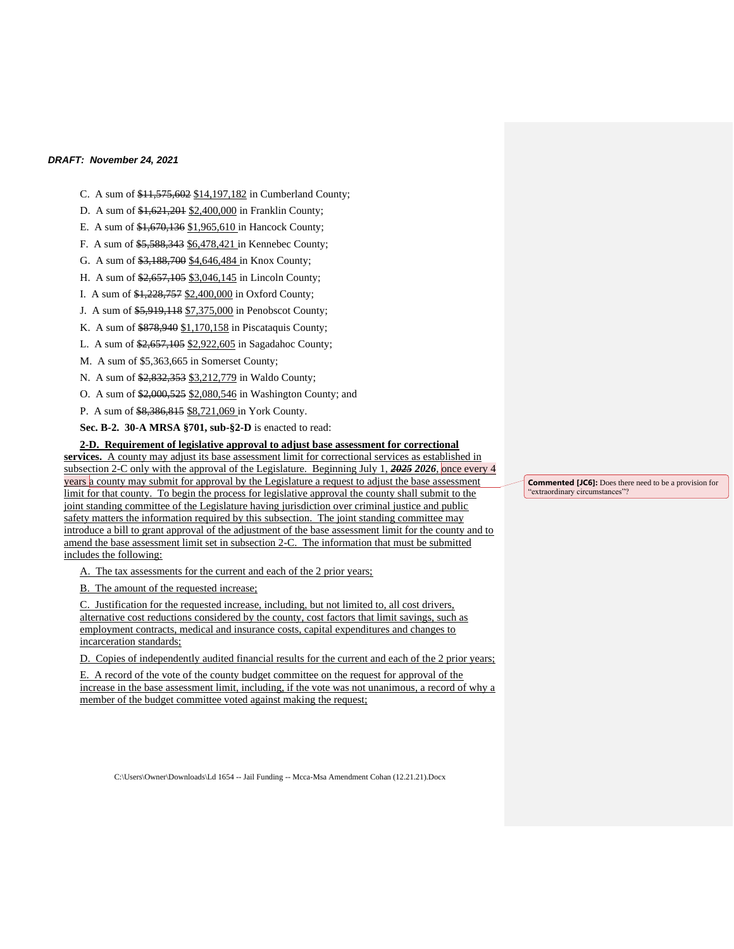- C. A sum of \$11,575,602 \$14,197,182 in Cumberland County;
- D. A sum of \$1,621,201 \$2,400,000 in Franklin County;
- E. A sum of \$1,670,136 \$1,965,610 in Hancock County;
- F. A sum of \$5,588,343 \$6,478,421 in Kennebec County;
- G. A sum of \$3,188,700 \$4,646,484 in Knox County;
- H. A sum of \$2,657,105 \$3,046,145 in Lincoln County;
- I. A sum of \$1,228,757 \$2,400,000 in Oxford County;
- J. A sum of \$5,919,118 \$7,375,000 in Penobscot County;
- K. A sum of \$878,940 \$1,170,158 in Piscataquis County;
- L. A sum of \$2,657,105 \$2,922,605 in Sagadahoc County;
- M. A sum of \$5,363,665 in Somerset County;
- N. A sum of \$2,832,353 \$3,212,779 in Waldo County;
- O. A sum of \$2,000,525 \$2,080,546 in Washington County; and
- P. A sum of \$8,386,815 \$8,721,069 in York County.

**Sec. B-2. 30-A MRSA §701, sub-§2-D** is enacted to read:

#### **2-D. Requirement of legislative approval to adjust base assessment for correctional**

**services.** A county may adjust its base assessment limit for correctional services as established in subsection 2-C only with the approval of the Legislature. Beginning July 1, *2025 2026*, once every 4 years a county may submit for approval by the Legislature a request to adjust the base assessment limit for that county. To begin the process for legislative approval the county shall submit to the joint standing committee of the Legislature having jurisdiction over criminal justice and public safety matters the information required by this subsection. The joint standing committee may introduce a bill to grant approval of the adjustment of the base assessment limit for the county and to amend the base assessment limit set in subsection 2-C. The information that must be submitted includes the following:

A. The tax assessments for the current and each of the 2 prior years;

B. The amount of the requested increase;

C. Justification for the requested increase, including, but not limited to, all cost drivers, alternative cost reductions considered by the county, cost factors that limit savings, such as employment contracts, medical and insurance costs, capital expenditures and changes to incarceration standards;

D. Copies of independently audited financial results for the current and each of the 2 prior years;

E. A record of the vote of the county budget committee on the request for approval of the increase in the base assessment limit, including, if the vote was not unanimous, a record of why a member of the budget committee voted against making the request;

C:\Users\Owner\Downloads\Ld 1654 -- Jail Funding -- Mcca-Msa Amendment Cohan (12.21.21).Docx

**Commented [JC6]:** Does there need to be a provision for "extraordinary circumstances"?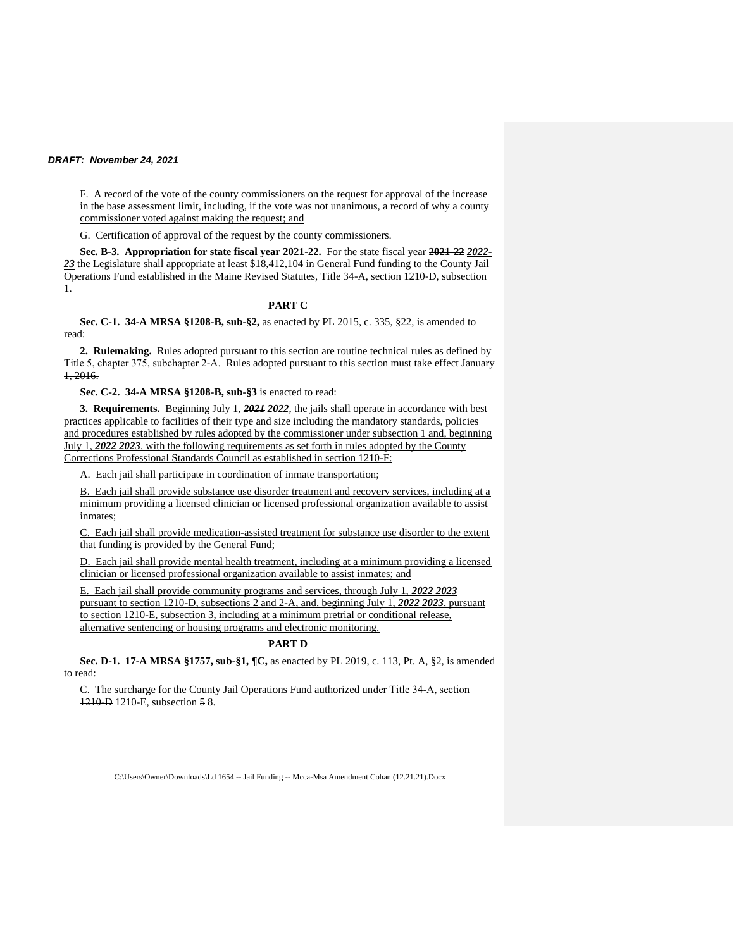F. A record of the vote of the county commissioners on the request for approval of the increase in the base assessment limit, including, if the vote was not unanimous, a record of why a county commissioner voted against making the request; and

G. Certification of approval of the request by the county commissioners.

**Sec. B-3. Appropriation for state fiscal year 2021-22.** For the state fiscal year **2021-22** *2022- 23* the Legislature shall appropriate at least \$18,412,104 in General Fund funding to the County Jail Operations Fund established in the Maine Revised Statutes, Title 34-A, section 1210-D, subsection 1.

#### **PART C**

**Sec. C-1. 34-A MRSA §1208-B, sub-§2,** as enacted by PL 2015, c. 335, §22, is amended to read:

**2. Rulemaking.** Rules adopted pursuant to this section are routine technical rules as defined by Title 5, chapter 375, subchapter 2-A. Rules adopted pursuant to this section must take effect January 1, 2016.

**Sec. C-2. 34-A MRSA §1208-B, sub-§3** is enacted to read:

**3. Requirements.** Beginning July 1, *2021 2022*, the jails shall operate in accordance with best practices applicable to facilities of their type and size including the mandatory standards, policies and procedures established by rules adopted by the commissioner under subsection 1 and, beginning July 1, *2022 2023*, with the following requirements as set forth in rules adopted by the County Corrections Professional Standards Council as established in section 1210-F:

A. Each jail shall participate in coordination of inmate transportation;

B. Each jail shall provide substance use disorder treatment and recovery services, including at a minimum providing a licensed clinician or licensed professional organization available to assist inmates;

C. Each jail shall provide medication-assisted treatment for substance use disorder to the extent that funding is provided by the General Fund;

D. Each jail shall provide mental health treatment, including at a minimum providing a licensed clinician or licensed professional organization available to assist inmates; and

E. Each jail shall provide community programs and services, through July 1, *2022 2023* pursuant to section 1210-D, subsections 2 and 2-A, and, beginning July 1, *2022 2023*, pursuant to section 1210-E, subsection 3, including at a minimum pretrial or conditional release, alternative sentencing or housing programs and electronic monitoring.

# **PART D**

**Sec. D-1. 17-A MRSA §1757, sub-§1, ¶C,** as enacted by PL 2019, c. 113, Pt. A, §2, is amended to read:

C. The surcharge for the County Jail Operations Fund authorized under Title 34‑A, section 1210‑D 1210-E, subsection 5 8.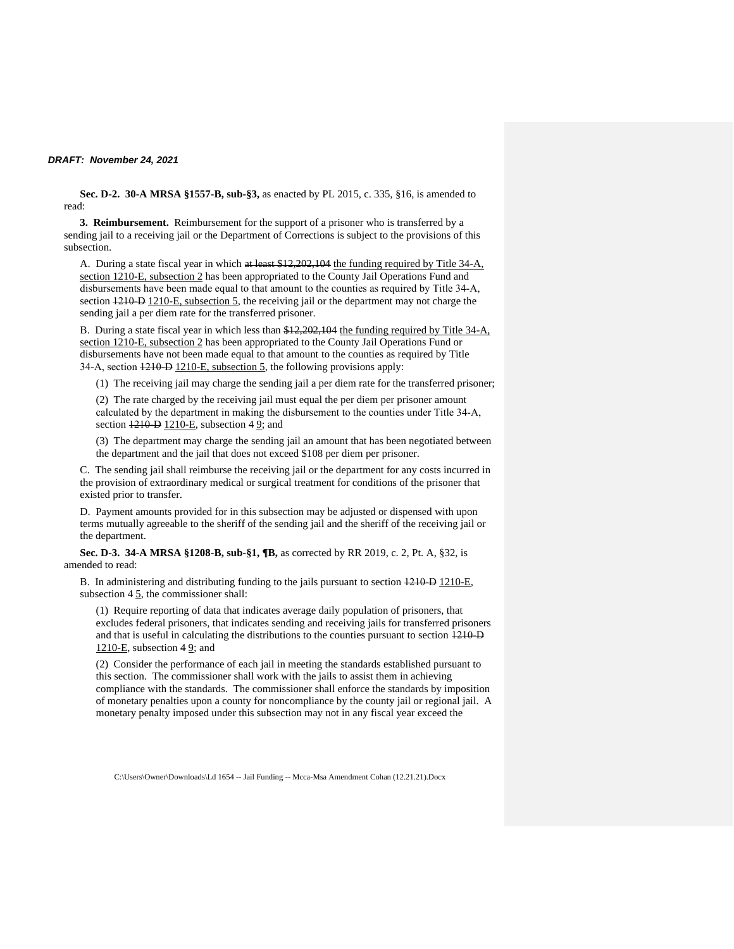**Sec. D-2. 30-A MRSA §1557-B, sub-§3,** as enacted by PL 2015, c. 335, §16, is amended to read:

**3. Reimbursement.** Reimbursement for the support of a prisoner who is transferred by a sending jail to a receiving jail or the Department of Corrections is subject to the provisions of this subsection.

A. During a state fiscal year in which at least \$12,202,104 the funding required by Title 34-A, section 1210-E, subsection 2 has been appropriated to the County Jail Operations Fund and disbursements have been made equal to that amount to the counties as required by Title 34-A, section  $\frac{1210 \text{ D}}{210 \text{ E}}$ , subsection 5, the receiving jail or the department may not charge the sending jail a per diem rate for the transferred prisoner.

B. During a state fiscal year in which less than \$12,202,104 the funding required by Title 34-A, section 1210-E, subsection 2 has been appropriated to the County Jail Operations Fund or disbursements have not been made equal to that amount to the counties as required by Title 34-A, section  $\frac{1210 \text{--}D}{210 \text{--}E}$ , subsection 5, the following provisions apply:

(1) The receiving jail may charge the sending jail a per diem rate for the transferred prisoner;

(2) The rate charged by the receiving jail must equal the per diem per prisoner amount calculated by the department in making the disbursement to the counties under Title 34‑A, section  $\overline{1210 - E}$ , subsection  $\overline{49}$ ; and

(3) The department may charge the sending jail an amount that has been negotiated between the department and the jail that does not exceed \$108 per diem per prisoner.

C. The sending jail shall reimburse the receiving jail or the department for any costs incurred in the provision of extraordinary medical or surgical treatment for conditions of the prisoner that existed prior to transfer.

D. Payment amounts provided for in this subsection may be adjusted or dispensed with upon terms mutually agreeable to the sheriff of the sending jail and the sheriff of the receiving jail or the department.

**Sec. D-3. 34-A MRSA §1208-B, sub-§1, ¶B,** as corrected by RR 2019, c. 2, Pt. A, §32, is amended to read:

B. In administering and distributing funding to the jails pursuant to section  $\frac{1210}{P}$  1210–E, subsection 4  $\overline{5}$ , the commissioner shall:

(1) Require reporting of data that indicates average daily population of prisoners, that excludes federal prisoners, that indicates sending and receiving jails for transferred prisoners and that is useful in calculating the distributions to the counties pursuant to section  $\frac{1210 \text{ }}{1210 \text{ }}$ 1210-E, subsection  $49$ ; and

(2) Consider the performance of each jail in meeting the standards established pursuant to this section. The commissioner shall work with the jails to assist them in achieving compliance with the standards. The commissioner shall enforce the standards by imposition of monetary penalties upon a county for noncompliance by the county jail or regional jail. A monetary penalty imposed under this subsection may not in any fiscal year exceed the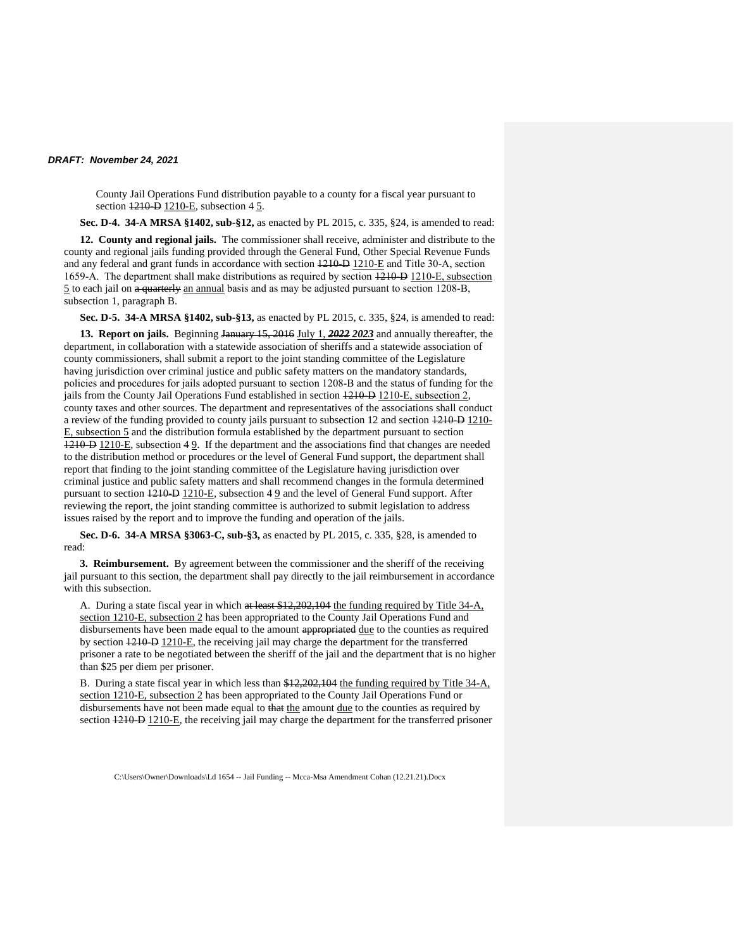County Jail Operations Fund distribution payable to a county for a fiscal year pursuant to section  $\overline{1210 - D}$  1210-E, subsection 4 5.

**Sec. D-4. 34-A MRSA §1402, sub-§12,** as enacted by PL 2015, c. 335, §24, is amended to read:

**12. County and regional jails.** The commissioner shall receive, administer and distribute to the county and regional jails funding provided through the General Fund, Other Special Revenue Funds and any federal and grant funds in accordance with section  $1210-D1210-E$  and Title 30-A, section 1659‑A. The department shall make distributions as required by section 1210‑B 1210‑E, subsection 5 to each jail on a quarterly an annual basis and as may be adjusted pursuant to section 1208‑B, subsection 1, paragraph B.

**Sec. D-5. 34-A MRSA §1402, sub-§13,** as enacted by PL 2015, c. 335, §24, is amended to read:

**13. Report on jails.** Beginning January 15, 2016 July 1, *2022 2023* and annually thereafter, the department, in collaboration with a statewide association of sheriffs and a statewide association of county commissioners, shall submit a report to the joint standing committee of the Legislature having jurisdiction over criminal justice and public safety matters on the mandatory standards, policies and procedures for jails adopted pursuant to section 1208‑B and the status of funding for the jails from the County Jail Operations Fund established in section 1210–D 1210–E, subsection 2, county taxes and other sources. The department and representatives of the associations shall conduct a review of the funding provided to county jails pursuant to subsection 12 and section  $1210 - 1210$ E, subsection 5 and the distribution formula established by the department pursuant to section 1210‑D 1210-E, subsection 4 9. If the department and the associations find that changes are needed to the distribution method or procedures or the level of General Fund support, the department shall report that finding to the joint standing committee of the Legislature having jurisdiction over criminal justice and public safety matters and shall recommend changes in the formula determined pursuant to section  $\frac{1210 - D}{210 - E}$ , subsection  $4.9$  and the level of General Fund support. After reviewing the report, the joint standing committee is authorized to submit legislation to address issues raised by the report and to improve the funding and operation of the jails.

**Sec. D-6. 34-A MRSA §3063-C, sub-§3,** as enacted by PL 2015, c. 335, §28, is amended to read:

**3. Reimbursement.** By agreement between the commissioner and the sheriff of the receiving jail pursuant to this section, the department shall pay directly to the jail reimbursement in accordance with this subsection.

A. During a state fiscal year in which at least \$12,202,104 the funding required by Title 34-A, section 1210-E, subsection 2 has been appropriated to the County Jail Operations Fund and disbursements have been made equal to the amount appropriated due to the counties as required by section 1210‑D 1210-E, the receiving jail may charge the department for the transferred prisoner a rate to be negotiated between the sheriff of the jail and the department that is no higher than \$25 per diem per prisoner.

B. During a state fiscal year in which less than \$12,202,104 the funding required by Title 34-A, section 1210-E, subsection 2 has been appropriated to the County Jail Operations Fund or disbursements have not been made equal to that the amount due to the counties as required by section  $1210 - D$ . If the receiving jail may charge the department for the transferred prisoner